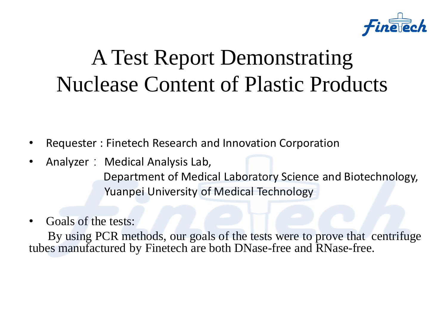

#### A Test Report Demonstrating Nuclease Content of Plastic Products

• Requester : Finetech Research and Innovation Corporation

- Analyzer: Medical Analysis Lab, Department of Medical Laboratory Science and Biotechnology, Yuanpei University of Medical Technology
- Goals of the tests:

 By using PCR methods, our goals of the tests were to prove that centrifuge tubes manufactured by Finetech are both DNase-free and RNase-free.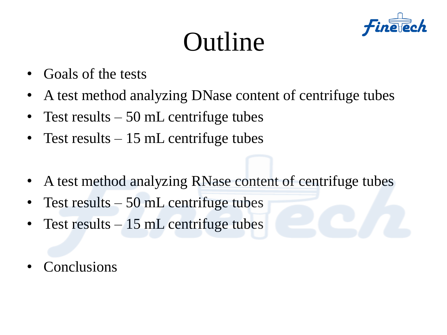### Outline



- Goals of the tests
- A test method analyzing DNase content of centrifuge tubes
- Test results  $-50$  mL centrifuge tubes
- Test results 15 mL centrifuge tubes
- A test method analyzing RNase content of centrifuge tubes
- Test results  $-50$  mL centrifuge tubes
- Test results 15 mL centrifuge tubes
- **Conclusions**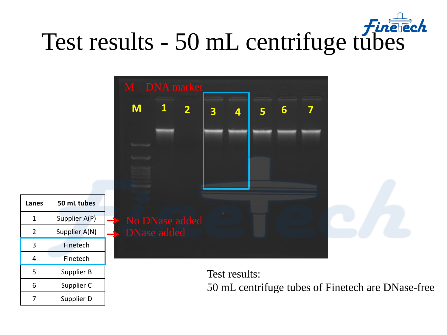## Test results - 50 mL centrifuge tubes



6 Supplier C

7 | Supplier D

Test results: 50 mL centrifuge tubes of Finetech are DNase-free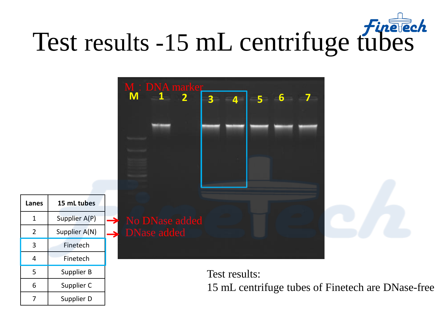## Test results -15 mL centrifuge fubes



6 Supplier C

7 | Supplier D

Test results: 15 mL centrifuge tubes of Finetech are DNase-free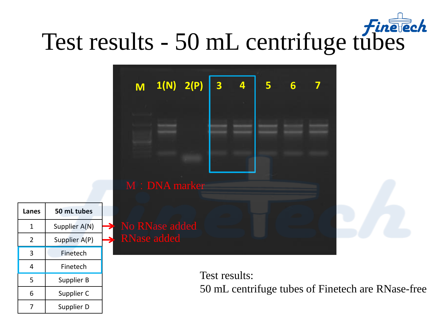### Test results - 50 mL centrifuge tubes



5 | Supplier B

6 Supplier C

7 | Supplier D

Test results: 50 mL centrifuge tubes of Finetech are RNase-free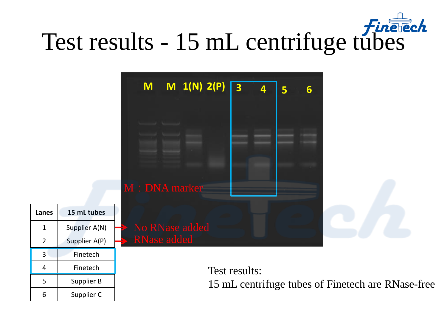# Test results - 15 mL centrifuge tubes

|                |               | $M_1(N) 2(P)$<br>M<br>$\overline{\mathbf{3}}$<br>4<br>$6\phantom{1}6$<br>5<br>M: DNA marker |  |  |
|----------------|---------------|---------------------------------------------------------------------------------------------|--|--|
| Lanes          | 15 mL tubes   |                                                                                             |  |  |
| $\mathbf 1$    | Supplier A(N) | No RNase added                                                                              |  |  |
| $2^{\circ}$    | Supplier A(P) | RNase added                                                                                 |  |  |
| $\overline{3}$ | Finetech      |                                                                                             |  |  |
| $\overline{4}$ | Finetech      | Test results:                                                                               |  |  |
| 5              | Supplier B    | 15 mL centrifuge tubes of Finetech are RNase-free                                           |  |  |
| 6              | Supplier C    |                                                                                             |  |  |